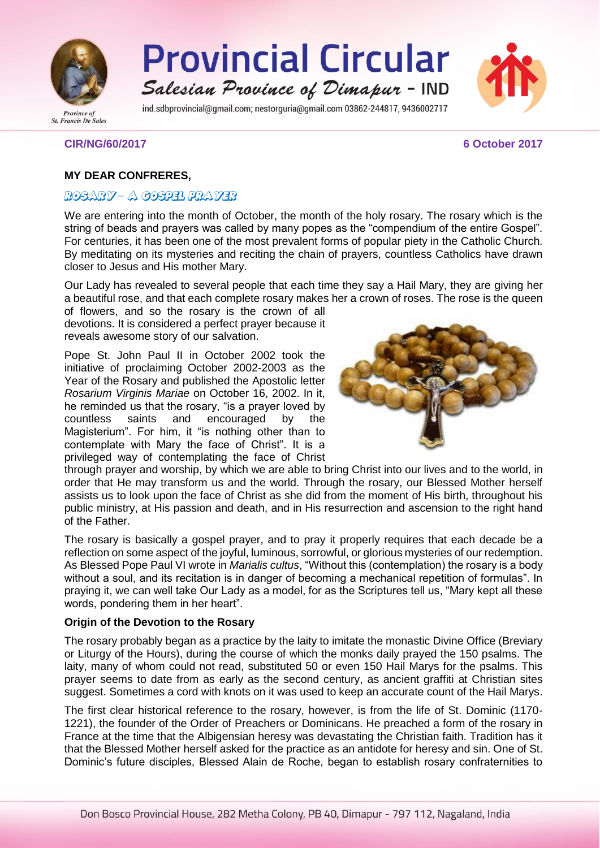

**Provincial Circular** Salesian Province of Dimapur - IND

ind.sdbprovincial@gmail.com: nestorguria@gmail.com 03862-244817, 9436002717



**CIR/NG/60/2017 6 October 2017**

# **MY DEAR CONFRERES,**

# ROSARY – A COSPEL PRAYER

We are entering into the month of October, the month of the holy rosary. The rosary which is the string of beads and prayers was called by many popes as the "compendium of the entire Gospel". For centuries, it has been one of the most prevalent forms of popular piety in the Catholic Church. By meditating on its mysteries and reciting the chain of prayers, countless Catholics have drawn closer to Jesus and His mother Mary.

Our Lady has revealed to several people that each time they say a Hail Mary, they are giving her a beautiful rose, and that each complete rosary makes her a crown of roses. The rose is the queen

of flowers, and so the rosary is the crown of all devotions. It is considered a perfect prayer because it reveals awesome story of our salvation.

Pope St. John Paul II in October 2002 took the initiative of proclaiming October 2002-2003 as the Year of the Rosary and published the Apostolic letter *Rosarium Virginis Mariae* on October 16, 2002. In it, he reminded us that the rosary, "is a prayer loved by countless saints and encouraged by the Magisterium". For him, it "is nothing other than to contemplate with Mary the face of Christ". It is a privileged way of contemplating the face of Christ



through prayer and worship, by which we are able to bring Christ into our lives and to the world, in order that He may transform us and the world. Through the rosary, our Blessed Mother herself assists us to look upon the face of Christ as she did from the moment of His birth, throughout his public ministry, at His passion and death, and in His resurrection and ascension to the right hand of the Father.

The rosary is basically a gospel prayer, and to pray it properly requires that each decade be a reflection on some aspect of the joyful, luminous, sorrowful, or glorious mysteries of our redemption. As Blessed Pope Paul VI wrote in *Marialis cultus*, "Without this (contemplation) the rosary is a body without a soul, and its recitation is in danger of becoming a mechanical repetition of formulas". In praying it, we can well take Our Lady as a model, for as the Scriptures tell us, "Mary kept all these words, pondering them in her heart".

#### **Origin of the Devotion to the Rosary**

The rosary probably began as a practice by the laity to imitate the monastic Divine Office (Breviary or Liturgy of the Hours), during the course of which the monks daily prayed the 150 psalms. The laity, many of whom could not read, substituted 50 or even 150 Hail Marys for the psalms. This prayer seems to date from as early as the second century, as ancient graffiti at Christian sites suggest. Sometimes a cord with knots on it was used to keep an accurate count of the Hail Marys.

The first clear historical reference to the rosary, however, is from the life of St. Dominic (1170- 1221), the founder of the Order of Preachers or Dominicans. He preached a form of the rosary in France at the time that the Albigensian heresy was devastating the Christian faith. Tradition has it that the Blessed Mother herself asked for the practice as an antidote for heresy and sin. One of St. Dominic's future disciples, Blessed Alain de Roche, began to establish rosary confraternities to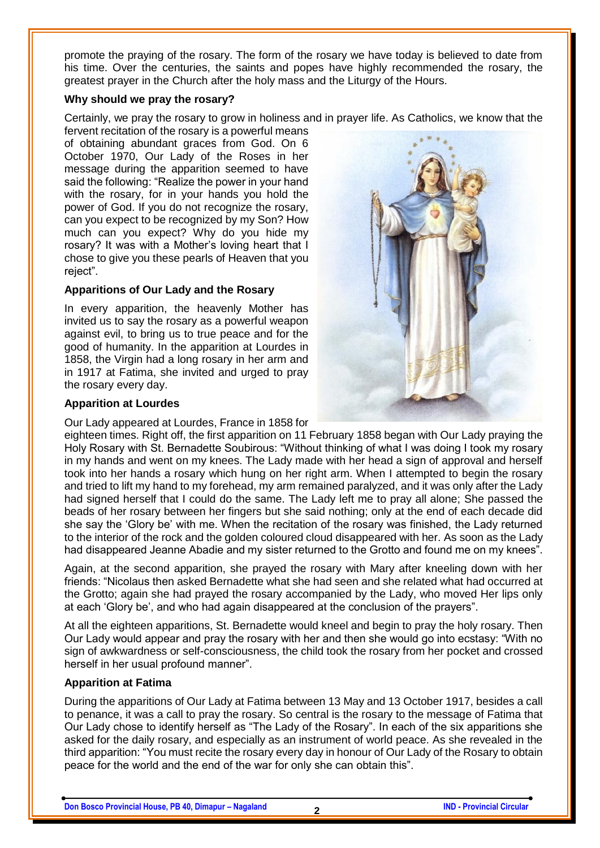promote the praying of the rosary. The form of the rosary we have today is believed to date from his time. Over the centuries, the saints and popes have highly recommended the rosary, the greatest prayer in the Church after the holy mass and the Liturgy of the Hours.

#### **Why should we pray the rosary?**

Certainly, we pray the rosary to grow in holiness and in prayer life. As Catholics, we know that the

fervent recitation of the rosary is a powerful means of obtaining abundant graces from God. On 6 October 1970, Our Lady of the Roses in her message during the apparition seemed to have said the following: "Realize the power in your hand with the rosary, for in your hands you hold the power of God. If you do not recognize the rosary, can you expect to be recognized by my Son? How much can you expect? Why do you hide my rosary? It was with a Mother's loving heart that I chose to give you these pearls of Heaven that you reject".

### **Apparitions of Our Lady and the Rosary**

In every apparition, the heavenly Mother has invited us to say the rosary as a powerful weapon against evil, to bring us to true peace and for the good of humanity. In the apparition at Lourdes in 1858, the Virgin had a long rosary in her arm and in 1917 at Fatima, she invited and urged to pray the rosary every day.

#### **Apparition at Lourdes**

Our Lady appeared at Lourdes, France in 1858 for



eighteen times. Right off, the first apparition on 11 February 1858 began with Our Lady praying the Holy Rosary with St. Bernadette Soubirous: "Without thinking of what I was doing I took my rosary in my hands and went on my knees. The Lady made with her head a sign of approval and herself took into her hands a rosary which hung on her right arm. When I attempted to begin the rosary and tried to lift my hand to my forehead, my arm remained paralyzed, and it was only after the Lady had signed herself that I could do the same. The Lady left me to pray all alone; She passed the beads of her rosary between her fingers but she said nothing; only at the end of each decade did she say the 'Glory be' with me. When the recitation of the rosary was finished, the Lady returned to the interior of the rock and the golden coloured cloud disappeared with her. As soon as the Lady had disappeared Jeanne Abadie and my sister returned to the Grotto and found me on my knees".

Again, at the second apparition, she prayed the rosary with Mary after kneeling down with her friends: "Nicolaus then asked Bernadette what she had seen and she related what had occurred at the Grotto; again she had prayed the rosary accompanied by the Lady, who moved Her lips only at each 'Glory be', and who had again disappeared at the conclusion of the prayers".

At all the eighteen apparitions, St. Bernadette would kneel and begin to pray the holy rosary. Then Our Lady would appear and pray the rosary with her and then she would go into ecstasy: "With no sign of awkwardness or self-consciousness, the child took the rosary from her pocket and crossed herself in her usual profound manner".

### **Apparition at Fatima**

During the apparitions of Our Lady at Fatima between 13 May and 13 October 1917, besides a call to penance, it was a call to pray the rosary. So central is the rosary to the message of Fatima that Our Lady chose to identify herself as "The Lady of the Rosary". In each of the six apparitions she asked for the daily rosary, and especially as an instrument of world peace. As she revealed in the third apparition: "You must recite the rosary every day in honour of Our Lady of the Rosary to obtain peace for the world and the end of the war for only she can obtain this".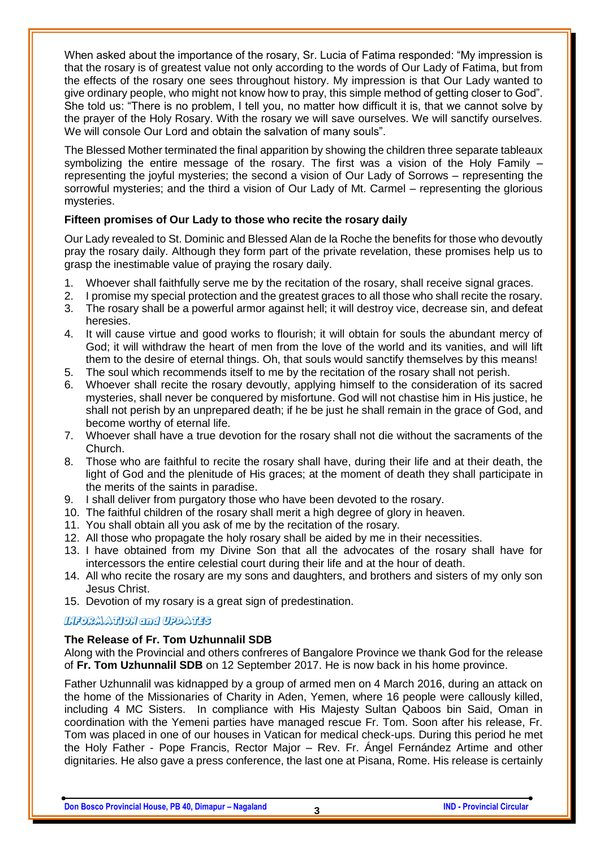When asked about the importance of the rosary, Sr. Lucia of Fatima responded: "My impression is that the rosary is of greatest value not only according to the words of Our Lady of Fatima, but from the effects of the rosary one sees throughout history. My impression is that Our Lady wanted to give ordinary people, who might not know how to pray, this simple method of getting closer to God". She told us: "There is no problem, I tell you, no matter how difficult it is, that we cannot solve by the prayer of the Holy Rosary. With the rosary we will save ourselves. We will sanctify ourselves. We will console Our Lord and obtain the salvation of many souls".

The Blessed Mother terminated the final apparition by showing the children three separate tableaux symbolizing the entire message of the rosary. The first was a vision of the Holy Family – representing the joyful mysteries; the second a vision of Our Lady of Sorrows – representing the sorrowful mysteries; and the third a vision of Our Lady of Mt. Carmel – representing the glorious mysteries.

# **Fifteen promises of Our Lady to those who recite the rosary daily**

Our Lady revealed to St. Dominic and Blessed Alan de la Roche the benefits for those who devoutly pray the rosary daily. Although they form part of the private revelation, these promises help us to grasp the inestimable value of praying the rosary daily.

- 1. Whoever shall faithfully serve me by the recitation of the rosary, shall receive signal graces.
- 2. I promise my special protection and the greatest graces to all those who shall recite the rosary.
- 3. The rosary shall be a powerful armor against hell; it will destroy vice, decrease sin, and defeat heresies.
- 4. It will cause virtue and good works to flourish; it will obtain for souls the abundant mercy of God; it will withdraw the heart of men from the love of the world and its vanities, and will lift them to the desire of eternal things. Oh, that souls would sanctify themselves by this means!
- 5. The soul which recommends itself to me by the recitation of the rosary shall not perish.
- 6. Whoever shall recite the rosary devoutly, applying himself to the consideration of its sacred mysteries, shall never be conquered by misfortune. God will not chastise him in His justice, he shall not perish by an unprepared death; if he be just he shall remain in the grace of God, and become worthy of eternal life.
- 7. Whoever shall have a true devotion for the rosary shall not die without the sacraments of the Church.
- 8. Those who are faithful to recite the rosary shall have, during their life and at their death, the light of God and the plenitude of His graces; at the moment of death they shall participate in the merits of the saints in paradise.
- 9. I shall deliver from purgatory those who have been devoted to the rosary.
- 10. The faithful children of the rosary shall merit a high degree of glory in heaven.
- 11. You shall obtain all you ask of me by the recitation of the rosary.
- 12. All those who propagate the holy rosary shall be aided by me in their necessities.
- 13. I have obtained from my Divine Son that all the advocates of the rosary shall have for intercessors the entire celestial court during their life and at the hour of death.
- 14. All who recite the rosary are my sons and daughters, and brothers and sisters of my only son Jesus Christ.
- 15. Devotion of my rosary is a great sign of predestination.

# **LIFORMATION and UPDATES**

# **The Release of Fr. Tom Uzhunnalil SDB**

Along with the Provincial and others confreres of Bangalore Province we thank God for the release of **Fr. Tom Uzhunnalil SDB** on 12 September 2017. He is now back in his home province.

Father Uzhunnalil was kidnapped by a group of armed men on 4 March 2016, during an attack on the home of the Missionaries of Charity in Aden, Yemen, where 16 people were callously killed, including 4 MC Sisters. In compliance with His Majesty Sultan Qaboos bin Said, Oman in coordination with the Yemeni parties have managed rescue Fr. Tom. Soon after his release, Fr. Tom was placed in one of our houses in Vatican for medical check-ups. During this period he met the Holy Father - Pope Francis, Rector Major – Rev. Fr. Ángel Fernández Artime and other dignitaries. He also gave a press conference, the last one at Pisana, Rome. His release is certainly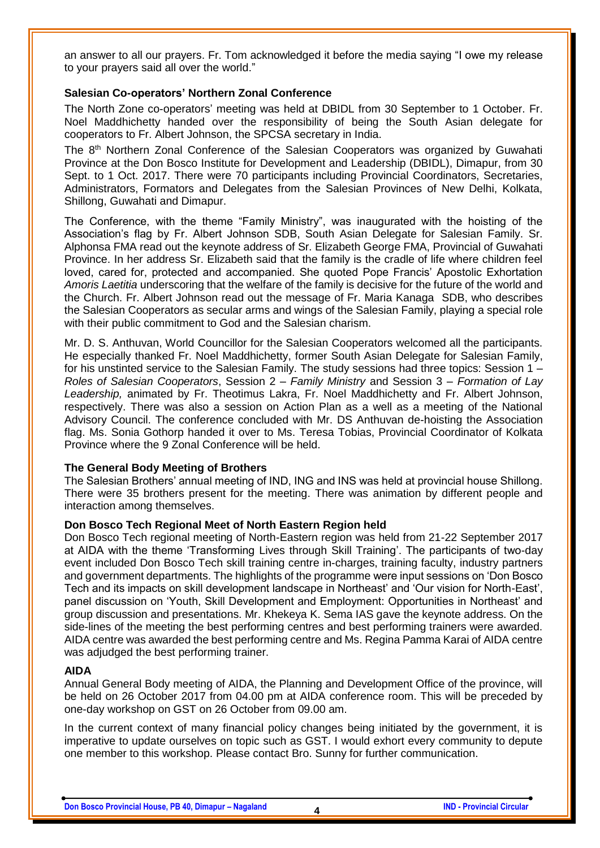an answer to all our prayers. Fr. Tom acknowledged it before the media saying "I owe my release to your prayers said all over the world."

#### **Salesian Co-operators' Northern Zonal Conference**

The North Zone co-operators' meeting was held at DBIDL from 30 September to 1 October. Fr. Noel Maddhichetty handed over the responsibility of being the South Asian delegate for cooperators to Fr. Albert Johnson, the SPCSA secretary in India.

The 8th Northern Zonal Conference of the Salesian Cooperators was organized by Guwahati Province at the Don Bosco Institute for Development and Leadership (DBIDL), Dimapur, from 30 Sept. to 1 Oct. 2017. There were 70 participants including Provincial Coordinators, Secretaries, Administrators, Formators and Delegates from the Salesian Provinces of New Delhi, Kolkata, Shillong, Guwahati and Dimapur.

The Conference, with the theme "Family Ministry", was inaugurated with the hoisting of the Association's flag by Fr. Albert Johnson SDB, South Asian Delegate for Salesian Family. Sr. Alphonsa FMA read out the keynote address of Sr. Elizabeth George FMA, Provincial of Guwahati Province. In her address Sr. Elizabeth said that the family is the cradle of life where children feel loved, cared for, protected and accompanied. She quoted Pope Francis' Apostolic Exhortation *Amoris Laetitia* underscoring that the welfare of the family is decisive for the future of the world and the Church. Fr. Albert Johnson read out the message of Fr. Maria Kanaga SDB, who describes the Salesian Cooperators as secular arms and wings of the Salesian Family, playing a special role with their public commitment to God and the Salesian charism.

Mr. D. S. Anthuvan, World Councillor for the Salesian Cooperators welcomed all the participants. He especially thanked Fr. Noel Maddhichetty, former South Asian Delegate for Salesian Family, for his unstinted service to the Salesian Family. The study sessions had three topics: Session 1 *– Roles of Salesian Cooperators*, Session 2 *– Family Ministry* and Session 3 *– Formation of Lay Leadership,* animated by Fr. Theotimus Lakra, Fr. Noel Maddhichetty and Fr. Albert Johnson, respectively. There was also a session on Action Plan as a well as a meeting of the National Advisory Council. The conference concluded with Mr. DS Anthuvan de-hoisting the Association flag. Ms. Sonia Gothorp handed it over to Ms. Teresa Tobias, Provincial Coordinator of Kolkata Province where the 9 Zonal Conference will be held.

### **The General Body Meeting of Brothers**

The Salesian Brothers' annual meeting of IND, ING and INS was held at provincial house Shillong. There were 35 brothers present for the meeting. There was animation by different people and interaction among themselves.

#### **Don Bosco Tech Regional Meet of North Eastern Region held**

Don Bosco Tech regional meeting of North-Eastern region was held from 21-22 September 2017 at AIDA with the theme 'Transforming Lives through Skill Training'. The participants of two-day event included Don Bosco Tech skill training centre in-charges, training faculty, industry partners and government departments. The highlights of the programme were input sessions on 'Don Bosco Tech and its impacts on skill development landscape in Northeast' and 'Our vision for North-East', panel discussion on 'Youth, Skill Development and Employment: Opportunities in Northeast' and group discussion and presentations. Mr. Khekeya K. Sema IAS gave the keynote address. On the side-lines of the meeting the best performing centres and best performing trainers were awarded. AIDA centre was awarded the best performing centre and Ms. Regina Pamma Karai of AIDA centre was adjudged the best performing trainer.

#### **AIDA**

Annual General Body meeting of AIDA, the Planning and Development Office of the province, will be held on 26 October 2017 from 04.00 pm at AIDA conference room. This will be preceded by one-day workshop on GST on 26 October from 09.00 am.

In the current context of many financial policy changes being initiated by the government, it is imperative to update ourselves on topic such as GST. I would exhort every community to depute one member to this workshop. Please contact Bro. Sunny for further communication.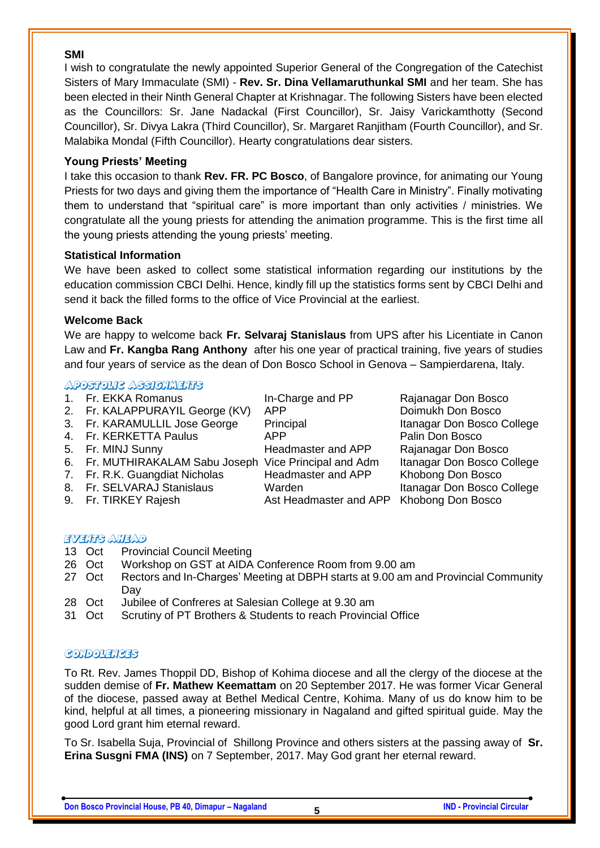#### **SMI**

I wish to congratulate the newly appointed Superior General of the Congregation of the Catechist Sisters of Mary Immaculate (SMI) - **Rev. Sr. Dina Vellamaruthunkal SMI** and her team. She has been elected in their Ninth General Chapter at Krishnagar. The following Sisters have been elected as the Councillors: Sr. Jane Nadackal (First Councillor), Sr. Jaisy Varickamthotty (Second Councillor), Sr. Divya Lakra (Third Councillor), Sr. Margaret Ranjitham (Fourth Councillor), and Sr. Malabika Mondal (Fifth Councillor). Hearty congratulations dear sisters.

### **Young Priests' Meeting**

I take this occasion to thank **Rev. FR. PC Bosco**, of Bangalore province, for animating our Young Priests for two days and giving them the importance of "Health Care in Ministry". Finally motivating them to understand that "spiritual care" is more important than only activities / ministries. We congratulate all the young priests for attending the animation programme. This is the first time all the young priests attending the young priests' meeting.

### **Statistical Information**

We have been asked to collect some statistical information regarding our institutions by the education commission CBCI Delhi. Hence, kindly fill up the statistics forms sent by CBCI Delhi and send it back the filled forms to the office of Vice Provincial at the earliest.

### **Welcome Back**

We are happy to welcome back **Fr. Selvaraj Stanislaus** from UPS after his Licentiate in Canon Law and **Fr. Kangba Rang Anthony** after his one year of practical training, five years of studies and four years of service as the dean of Don Bosco School in Genova – Sampierdarena, Italy.

# **ADOSTOVIC ASSIGNMENTS**

| 1. Fr. EKKA Romanus                                    | In-Charge and PP       | Rajanagar Don Bosco        |
|--------------------------------------------------------|------------------------|----------------------------|
| 2. Fr. KALAPPURAYIL George (KV)                        | <b>APP</b>             | Doimukh Don Bosco          |
| 3. Fr. KARAMULLIL Jose George                          | Principal              | Itanagar Don Bosco College |
| 4. Fr. KERKETTA Paulus                                 | <b>APP</b>             | Palin Don Bosco            |
| 5. Fr. MINJ Sunny                                      | Headmaster and APP     | Rajanagar Don Bosco        |
| 6. Fr. MUTHIRAKALAM Sabu Joseph Vice Principal and Adm |                        | Itanagar Don Bosco College |
| 7. Fr. R.K. Guangdiat Nicholas                         | Headmaster and APP     | Khobong Don Bosco          |
| 8. Fr. SELVARAJ Stanislaus                             | Warden                 | Itanagar Don Bosco College |
| 9. Fr. TIRKEY Rajesh                                   | Ast Headmaster and APP | Khobong Don Bosco          |
|                                                        |                        |                            |

### **EVENTS ATEAD**

- 13 Oct Provincial Council Meeting
- 26 Oct Workshop on GST at AIDA Conference Room from 9.00 am
- 27 Oct Rectors and In-Charges' Meeting at DBPH starts at 9.00 am and Provincial Community Day
- 28 Oct Jubilee of Confreres at Salesian College at 9.30 am
- 31 Oct Scrutiny of PT Brothers & Students to reach Provincial Office

### **GONDOUENGES**

To Rt. Rev. James Thoppil DD, Bishop of Kohima diocese and all the clergy of the diocese at the sudden demise of **Fr. Mathew Keemattam** on 20 September 2017. He was former Vicar General of the diocese, passed away at Bethel Medical Centre, Kohima. Many of us do know him to be kind, helpful at all times, a pioneering missionary in Nagaland and gifted spiritual guide. May the good Lord grant him eternal reward.

To Sr. Isabella Suja, Provincial of Shillong Province and others sisters at the passing away of **Sr. Erina Susgni FMA (INS)** on 7 September, 2017. May God grant her eternal reward.